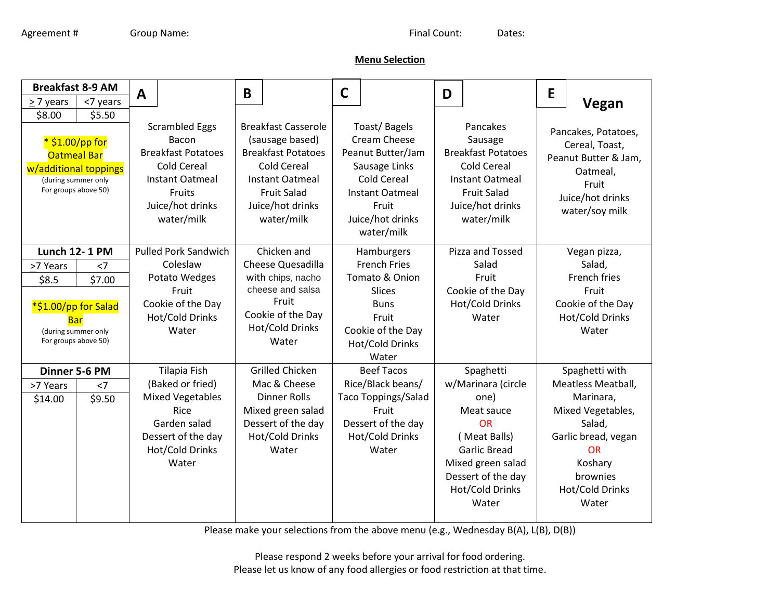## **Menu Selection**

| <b>Breakfast 8-9 AM</b>                                                                                                           |          | A                                                                                                                                                |                                                                                                   | B                                                                                                                                                                                  |                                                                                            | $\mathsf{C}$                                                                                                                                                  |                                                                                              | D                                                                                                                                                        |                                                                                                                                               | E                                                                                                                        |                                                                                                                                 |
|-----------------------------------------------------------------------------------------------------------------------------------|----------|--------------------------------------------------------------------------------------------------------------------------------------------------|---------------------------------------------------------------------------------------------------|------------------------------------------------------------------------------------------------------------------------------------------------------------------------------------|--------------------------------------------------------------------------------------------|---------------------------------------------------------------------------------------------------------------------------------------------------------------|----------------------------------------------------------------------------------------------|----------------------------------------------------------------------------------------------------------------------------------------------------------|-----------------------------------------------------------------------------------------------------------------------------------------------|--------------------------------------------------------------------------------------------------------------------------|---------------------------------------------------------------------------------------------------------------------------------|
| $\geq$ 7 years                                                                                                                    | <7 years |                                                                                                                                                  |                                                                                                   |                                                                                                                                                                                    |                                                                                            |                                                                                                                                                               |                                                                                              |                                                                                                                                                          |                                                                                                                                               |                                                                                                                          | Vegan                                                                                                                           |
| \$8.00<br>\$5.50<br>* \$1.00/pp for<br><b>Oatmeal Bar</b><br>w/additional toppings<br>(during summer only<br>For groups above 50) |          | <b>Scrambled Eggs</b><br>Bacon<br><b>Breakfast Potatoes</b><br><b>Cold Cereal</b><br>Instant Oatmeal<br>Fruits<br>Juice/hot drinks<br>water/milk |                                                                                                   | <b>Breakfast Casserole</b><br>(sausage based)<br><b>Breakfast Potatoes</b><br><b>Cold Cereal</b><br><b>Instant Oatmeal</b><br><b>Fruit Salad</b><br>Juice/hot drinks<br>water/milk |                                                                                            | Toast/Bagels<br>Cream Cheese<br>Peanut Butter/Jam<br>Sausage Links<br><b>Cold Cereal</b><br><b>Instant Oatmeal</b><br>Fruit<br>Juice/hot drinks<br>water/milk |                                                                                              | Pancakes<br>Sausage<br><b>Breakfast Potatoes</b><br><b>Cold Cereal</b><br><b>Instant Oatmeal</b><br><b>Fruit Salad</b><br>Juice/hot drinks<br>water/milk |                                                                                                                                               | Pancakes, Potatoes,<br>Cereal, Toast,<br>Peanut Butter & Jam,<br>Oatmeal,<br>Fruit<br>Juice/hot drinks<br>water/soy milk |                                                                                                                                 |
| <b>Lunch 12-1 PM</b>                                                                                                              |          |                                                                                                                                                  | <b>Pulled Pork Sandwich</b>                                                                       |                                                                                                                                                                                    | Chicken and                                                                                |                                                                                                                                                               | Hamburgers                                                                                   |                                                                                                                                                          | Pizza and Tossed                                                                                                                              |                                                                                                                          | Vegan pizza,                                                                                                                    |
| >7 Years                                                                                                                          | $<$ 7    |                                                                                                                                                  | Coleslaw                                                                                          |                                                                                                                                                                                    | Cheese Quesadilla                                                                          |                                                                                                                                                               | <b>French Fries</b>                                                                          |                                                                                                                                                          | Salad                                                                                                                                         |                                                                                                                          | Salad,                                                                                                                          |
| \$8.5                                                                                                                             | \$7.00   |                                                                                                                                                  | Potato Wedges                                                                                     |                                                                                                                                                                                    | with chips, nacho                                                                          |                                                                                                                                                               | Tomato & Onion                                                                               |                                                                                                                                                          | Fruit                                                                                                                                         |                                                                                                                          | French fries                                                                                                                    |
| *\$1.00/pp for Salad<br>Bar<br>(during summer only<br>For groups above 50)                                                        |          | cheese and salsa<br>Fruit<br>Fruit<br>Cookie of the Day<br>Cookie of the Day<br><b>Hot/Cold Drinks</b><br>Hot/Cold Drinks<br>Water<br>Water      |                                                                                                   | <b>Slices</b><br><b>Buns</b><br>Fruit<br>Cookie of the Day<br>Hot/Cold Drinks<br>Water                                                                                             |                                                                                            | Cookie of the Day<br>Hot/Cold Drinks<br>Water                                                                                                                 |                                                                                              |                                                                                                                                                          | Fruit<br>Cookie of the Day<br>Hot/Cold Drinks<br>Water                                                                                        |                                                                                                                          |                                                                                                                                 |
| Dinner 5-6 PM                                                                                                                     |          |                                                                                                                                                  | <b>Tilapia Fish</b>                                                                               |                                                                                                                                                                                    | <b>Grilled Chicken</b>                                                                     |                                                                                                                                                               | <b>Beef Tacos</b>                                                                            |                                                                                                                                                          | Spaghetti                                                                                                                                     |                                                                                                                          | Spaghetti with                                                                                                                  |
| >7 Years                                                                                                                          | $<$ 7    |                                                                                                                                                  | (Baked or fried)                                                                                  |                                                                                                                                                                                    | Mac & Cheese                                                                               |                                                                                                                                                               | Rice/Black beans/                                                                            |                                                                                                                                                          | w/Marinara (circle                                                                                                                            |                                                                                                                          | Meatless Meatball,                                                                                                              |
| \$14.00                                                                                                                           | \$9.50   |                                                                                                                                                  | <b>Mixed Vegetables</b><br>Rice<br>Garden salad<br>Dessert of the day<br>Hot/Cold Drinks<br>Water |                                                                                                                                                                                    | <b>Dinner Rolls</b><br>Mixed green salad<br>Dessert of the day<br>Hot/Cold Drinks<br>Water |                                                                                                                                                               | <b>Taco Toppings/Salad</b><br>Fruit<br>Dessert of the day<br><b>Hot/Cold Drinks</b><br>Water |                                                                                                                                                          | one)<br>Meat sauce<br><b>OR</b><br>(Meat Balls)<br><b>Garlic Bread</b><br>Mixed green salad<br>Dessert of the day<br>Hot/Cold Drinks<br>Water |                                                                                                                          | Marinara,<br>Mixed Vegetables,<br>Salad,<br>Garlic bread, vegan<br><b>OR</b><br>Koshary<br>brownies<br>Hot/Cold Drinks<br>Water |

Please make your selections from the above menu (e.g., Wednesday B(A), L(B), D(B))

Please respond 2 weeks before your arrival for food ordering. Please let us know of any food allergies or food restriction at that time.